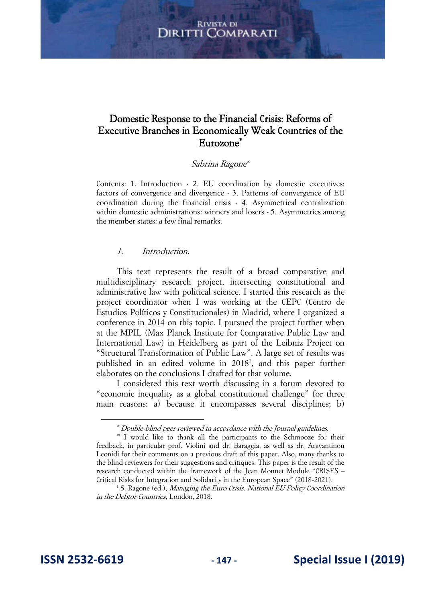# Domestic Response to the Financial Crisis: Reforms of Executive Branches in Economically Weak Countries of the Eurozone

#### Sabrina Ragone

Contents: 1. Introduction - 2. EU coordination by domestic executives: factors of convergence and divergence - 3. Patterns of convergence of EU coordination during the financial crisis - 4. Asymmetrical centralization within domestic administrations: winners and losers - 5. Asymmetries among the member states: a few final remarks.

#### 1. Introduction.

This text represents the result of a broad comparative and multidisciplinary research project, intersecting constitutional and administrative law with political science. I started this research as the project coordinator when I was working at the CEPC (Centro de Estudios Políticos y Constitucionales) in Madrid, where I organized a conference in 2014 on this topic. I pursued the project further when at the MPIL (Max Planck Institute for Comparative Public Law and International Law) in Heidelberg as part of the Leibniz Project on "Structural Transformation of Public Law". A large set of results was published in an edited volume in 2018<sup>1</sup>, and this paper further elaborates on the conclusions I drafted for that volume.

I considered this text worth discussing in a forum devoted to "economic inequality as a global constitutional challenge" for three main reasons: a) because it encompasses several disciplines; b)

 Double-blind peer reviewed in accordance with the Journal guidelines.

 I would like to thank all the participants to the Schmooze for their feedback, in particular prof. Violini and dr. Baraggia, as well as dr. Aravantinou Leonidi for their comments on a previous draft of this paper. Also, many thanks to the blind reviewers for their suggestions and critiques. This paper is the result of the research conducted within the framework of the Jean Monnet Module "CRISES – Critical Risks for Integration and Solidarity in the European Space" (2018-2021).

<sup>&</sup>lt;sup>1</sup> S. Ragone (ed.), Managing the Euro Crisis. National EU Policy Coordination in the Debtor Countries, London, 2018.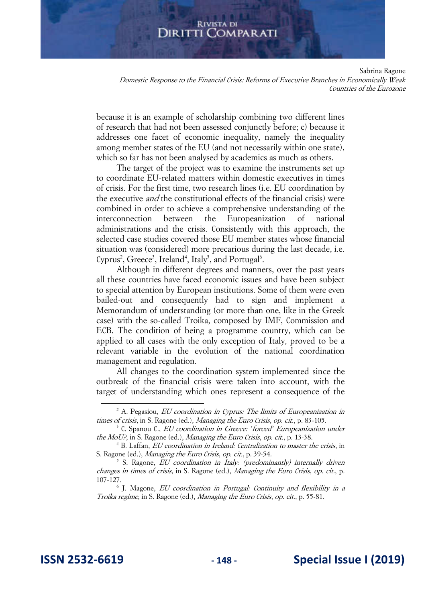Sabrina Ragone

Domestic Response to the Financial Crisis: Reforms of Executive Branches in Economically Weak Countries of the Eurozone

because it is an example of scholarship combining two different lines of research that had not been assessed conjunctly before; c) because it addresses one facet of economic inequality, namely the inequality among member states of the EU (and not necessarily within one state), which so far has not been analysed by academics as much as others.

The target of the project was to examine the instruments set up to coordinate EU-related matters within domestic executives in times of crisis. For the first time, two research lines (i.e. EU coordination by the executive *and* the constitutional effects of the financial crisis) were combined in order to achieve a comprehensive understanding of the interconnection between the Europeanization of national administrations and the crisis. Consistently with this approach, the selected case studies covered those EU member states whose financial situation was (considered) more precarious during the last decade, i.e. Cyprus<sup>2</sup>, Greece<sup>3</sup>, Ireland<sup>4</sup>, Italy<sup>5</sup>, and Portugal<sup>6</sup>.

Although in different degrees and manners, over the past years all these countries have faced economic issues and have been subject to special attention by European institutions. Some of them were even bailed-out and consequently had to sign and implement a Memorandum of understanding (or more than one, like in the Greek case) with the so-called Troika, composed by IMF, Commission and ECB. The condition of being a programme country, which can be applied to all cases with the only exception of Italy, proved to be a relevant variable in the evolution of the national coordination management and regulation.

All changes to the coordination system implemented since the outbreak of the financial crisis were taken into account, with the target of understanding which ones represent a consequence of the

 $2^2$  A. Pegasiou, *EU coordination in Cyprus: The limits of Europeanization in* times of crisis, in S. Ragone (ed.), Managing the Euro Crisis, op. cit., p. 83-105.

<sup>&</sup>lt;sup>3</sup> C. Spanou C., *EU coordination in Greece: 'forced' Europeanization under* the MoU?, in S. Ragone (ed.), Managing the Euro Crisis, op. cit., p. 13-38.

<sup>&</sup>lt;sup>4</sup> B. Laffan, *EU coordination in Ireland: Centralization to master the crisis*, in S. Ragone (ed.), Managing the Euro Crisis, op. cit., p. 39-54.

<sup>&</sup>lt;sup>5</sup> S. Ragone, *EU coordination in Italy: (predominantly) internally driven* changes in times of crisis, in S. Ragone (ed.), Managing the Euro Crisis, op. cit., p. 107-127.

<sup>&</sup>lt;sup>6</sup> J. Magone, *EU coordination in Portugal: Continuity and flexibility in a* Troika regime, in S. Ragone (ed.), Managing the Euro Crisis, op. cit., p. 55-81.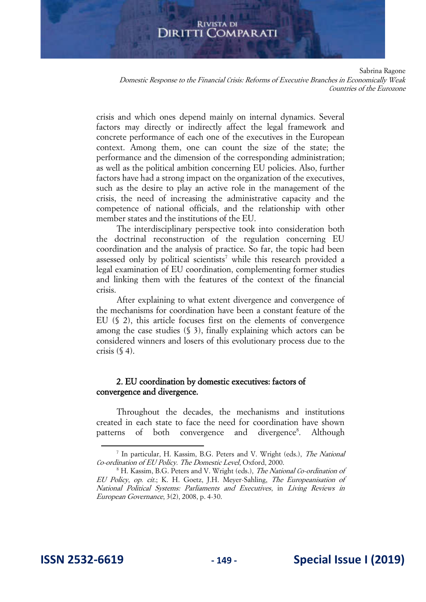Sabrina Ragone

Domestic Response to the Financial Crisis: Reforms of Executive Branches in Economically Weak Countries of the Eurozone

crisis and which ones depend mainly on internal dynamics. Several factors may directly or indirectly affect the legal framework and concrete performance of each one of the executives in the European context. Among them, one can count the size of the state; the performance and the dimension of the corresponding administration; as well as the political ambition concerning EU policies. Also, further factors have had a strong impact on the organization of the executives, such as the desire to play an active role in the management of the crisis, the need of increasing the administrative capacity and the competence of national officials, and the relationship with other member states and the institutions of the EU.

The interdisciplinary perspective took into consideration both the doctrinal reconstruction of the regulation concerning EU coordination and the analysis of practice. So far, the topic had been assessed only by political scientists<sup>7</sup> while this research provided a legal examination of EU coordination, complementing former studies and linking them with the features of the context of the financial crisis.

After explaining to what extent divergence and convergence of the mechanisms for coordination have been a constant feature of the EU (§ 2), this article focuses first on the elements of convergence among the case studies (§ 3), finally explaining which actors can be considered winners and losers of this evolutionary process due to the crisis  $(\$ 4)$ .

# 2. EU coordination by domestic executives: factors of convergence and divergence.

Throughout the decades, the mechanisms and institutions created in each state to face the need for coordination have shown patterns of both convergence and divergence<sup>8</sup>. Although

<sup>&</sup>lt;sup>7</sup> In particular, H. Kassim, B.G. Peters and V. Wright (eds.), The National Co-ordination of EU Policy. The Domestic Level, Oxford, 2000.

<sup>&</sup>lt;sup>8</sup> H. Kassim, B.G. Peters and V. Wright (eds.), The National Co-ordination of EU Policy, op. cit.; K. H. Goetz, J.H. Meyer-Sahling, The Europeanisation of National Political Systems: Parliaments and Executives, in Living Reviews in European Governance, 3(2), 2008, p. 4-30.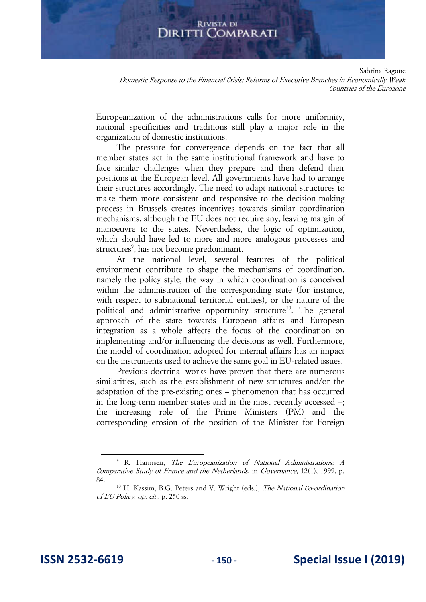## **RIVISTA DI** DIRITTI COMPARATI

Sabrina Ragone

Domestic Response to the Financial Crisis: Reforms of Executive Branches in Economically Weak Countries of the Eurozone

Europeanization of the administrations calls for more uniformity, national specificities and traditions still play a major role in the organization of domestic institutions.

The pressure for convergence depends on the fact that all member states act in the same institutional framework and have to face similar challenges when they prepare and then defend their positions at the European level. All governments have had to arrange their structures accordingly. The need to adapt national structures to make them more consistent and responsive to the decision-making process in Brussels creates incentives towards similar coordination mechanisms, although the EU does not require any, leaving margin of manoeuvre to the states. Nevertheless, the logic of optimization, which should have led to more and more analogous processes and structures<sup>9</sup>, has not become predominant.

At the national level, several features of the political environment contribute to shape the mechanisms of coordination, namely the policy style, the way in which coordination is conceived within the administration of the corresponding state (for instance, with respect to subnational territorial entities), or the nature of the political and administrative opportunity structure<sup>10</sup>. The general approach of the state towards European affairs and European integration as a whole affects the focus of the coordination on implementing and/or influencing the decisions as well. Furthermore, the model of coordination adopted for internal affairs has an impact on the instruments used to achieve the same goal in EU-related issues.

Previous doctrinal works have proven that there are numerous similarities, such as the establishment of new structures and/or the adaptation of the pre-existing ones – phenomenon that has occurred in the long-term member states and in the most recently accessed –; the increasing role of the Prime Ministers (PM) and the corresponding erosion of the position of the Minister for Foreign

<sup>9</sup> R. Harmsen, The Europeanization of National Administrations: A Comparative Study of France and the Netherlands, in Governance, 12(1), 1999, p. 84.

<sup>&</sup>lt;sup>10</sup> H. Kassim, B.G. Peters and V. Wright (eds.), *The National Co-ordination* of EU Policy, op. cit., p. 250 ss.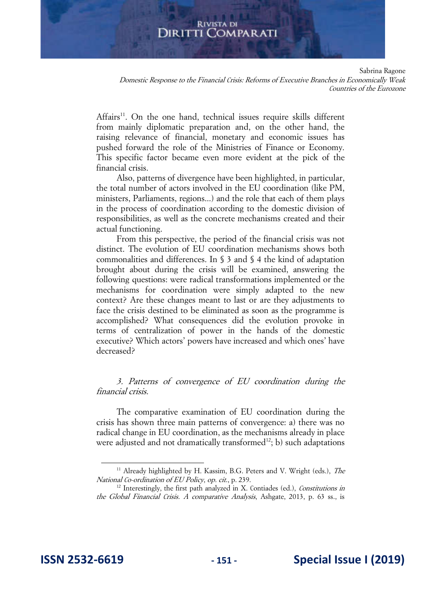#### **RIVISTA DI** Diritti ( **COMPARATI**

Sabrina Ragone

Domestic Response to the Financial Crisis: Reforms of Executive Branches in Economically Weak Countries of the Eurozone

Affairs<sup>11</sup>. On the one hand, technical issues require skills different from mainly diplomatic preparation and, on the other hand, the raising relevance of financial, monetary and economic issues has pushed forward the role of the Ministries of Finance or Economy. This specific factor became even more evident at the pick of the financial crisis.

Also, patterns of divergence have been highlighted, in particular, the total number of actors involved in the EU coordination (like PM, ministers, Parliaments, regions...) and the role that each of them plays in the process of coordination according to the domestic division of responsibilities, as well as the concrete mechanisms created and their actual functioning.

From this perspective, the period of the financial crisis was not distinct. The evolution of EU coordination mechanisms shows both commonalities and differences. In § 3 and § 4 the kind of adaptation brought about during the crisis will be examined, answering the following questions: were radical transformations implemented or the mechanisms for coordination were simply adapted to the new context? Are these changes meant to last or are they adjustments to face the crisis destined to be eliminated as soon as the programme is accomplished? What consequences did the evolution provoke in terms of centralization of power in the hands of the domestic executive? Which actors' powers have increased and which ones' have decreased?

3. Patterns of convergence of EU coordination during the financial crisis.

The comparative examination of EU coordination during the crisis has shown three main patterns of convergence: a) there was no radical change in EU coordination, as the mechanisms already in place were adjusted and not dramatically transformed<sup>12</sup>; b) such adaptations

<sup>&</sup>lt;sup>11</sup> Already highlighted by H. Kassim, B.G. Peters and V. Wright (eds.), *The* National Co-ordination of EU Policy, op. cit., p. 239.

<sup>&</sup>lt;sup>12</sup> Interestingly, the first path analyzed in X. Contiades (ed.), Constitutions in the Global Financial Crisis. A comparative Analysis, Ashgate, 2013, p. 63 ss., is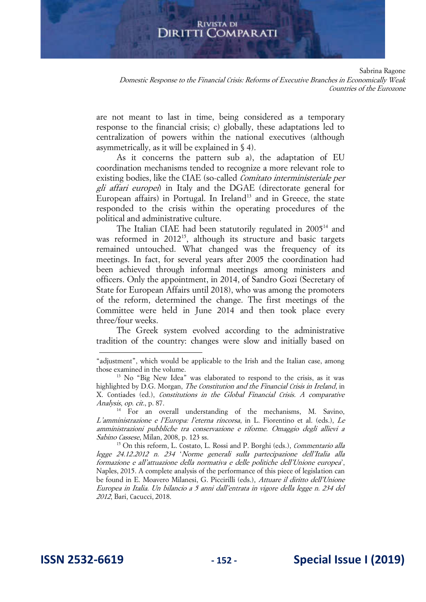Sabrina Ragone

Domestic Response to the Financial Crisis: Reforms of Executive Branches in Economically Weak Countries of the Eurozone

are not meant to last in time, being considered as a temporary response to the financial crisis; c) globally, these adaptations led to centralization of powers within the national executives (although asymmetrically, as it will be explained in § 4).

As it concerns the pattern sub a), the adaptation of EU coordination mechanisms tended to recognize a more relevant role to existing bodies, like the CIAE (so-called Comitato interministeriale per gli affari europei) in Italy and the DGAE (directorate general for European affairs) in Portugal. In Ireland<sup>13</sup> and in Greece, the state responded to the crisis within the operating procedures of the political and administrative culture.

The Italian CIAE had been statutorily regulated in 2005<sup>14</sup> and was reformed in 2012<sup>15</sup>, although its structure and basic targets remained untouched. What changed was the frequency of its meetings. In fact, for several years after 2005 the coordination had been achieved through informal meetings among ministers and officers. Only the appointment, in 2014, of Sandro Gozi (Secretary of State for European Affairs until 2018), who was among the promoters of the reform, determined the change. The first meetings of the Committee were held in June 2014 and then took place every three/four weeks.

The Greek system evolved according to the administrative tradition of the country: changes were slow and initially based on

<sup>&</sup>quot;adjustment", which would be applicable to the Irish and the Italian case, among those examined in the volume.

<sup>&</sup>lt;sup>13</sup> No "Big New Idea" was elaborated to respond to the crisis, as it was highlighted by D.G. Morgan, The Constitution and the Financial Crisis in Ireland, in X. Contiades (ed.), Constitutions in the Global Financial Crisis. A comparative Analysis, op. cit., p. 87.

<sup>&</sup>lt;sup>14</sup> For an overall understanding of the mechanisms, M. Savino, L'amministrazione e l'Europa: l'eterna rincorsa, in L. Fiorentino et al. (eds.), Le amministrazioni pubbliche tra conservazione e riforme. Omaggio degli allievi a Sabino Cassese, Milan, 2008, p. 123 ss.

 $15$  On this reform, L. Costato, L. Rossi and P. Borghi (eds.), *Commentario alla* legge 24.12.2012 n. 234 'Norme generali sulla partecipazione dell'Italia alla formazione e all'attuazione della normativa e delle politiche dell'Unione europea', Naples, 2015. A complete analysis of the performance of this piece of legislation can be found in E. Moavero Milanesi, G. Piccirilli (eds.), Attuare il diritto dell'Unione Europea in Italia. Un bilancio a 5 anni dall'entrata in vigore della legge n. 234 del 2012, Bari, Cacucci, 2018.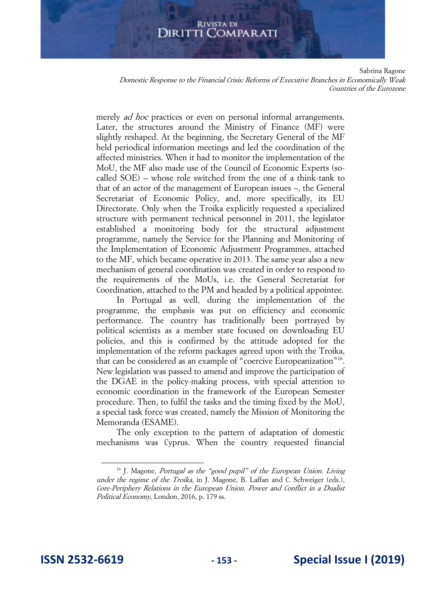Sabrina Ragone

Domestic Response to the Financial Crisis: Reforms of Executive Branches in Economically Weak Countries of the Eurozone

merely *ad hoc* practices or even on personal informal arrangements. Later, the structures around the Ministry of Finance (MF) were slightly reshaped. At the beginning, the Secretary General of the MF held periodical information meetings and led the coordination of the affected ministries. When it had to monitor the implementation of the MoU, the MF also made use of the Council of Economic Experts (socalled SOE) – whose role switched from the one of a think-tank to that of an actor of the management of European issues –, the General Secretariat of Economic Policy, and, more specifically, its EU Directorate. Only when the Troika explicitly requested a specialized structure with permanent technical personnel in 2011, the legislator established a monitoring body for the structural adjustment programme, namely the Service for the Planning and Monitoring of the Implementation of Economic Adjustment Programmes, attached to the MF, which became operative in 2013. The same year also a new mechanism of general coordination was created in order to respond to the requirements of the MoUs, i.e. the General Secretariat for Coordination, attached to the PM and headed by a political appointee.

In Portugal as well, during the implementation of the programme, the emphasis was put on efficiency and economic performance. The country has traditionally been portrayed by political scientists as a member state focused on downloading EU policies, and this is confirmed by the attitude adopted for the implementation of the reform packages agreed upon with the Troika, that can be considered as an example of "coercive Europeanization"<sup>16</sup>. New legislation was passed to amend and improve the participation of the DGAE in the policy-making process, with special attention to economic coordination in the framework of the European Semester procedure. Then, to fulfil the tasks and the timing fixed by the MoU, a special task force was created, namely the Mission of Monitoring the Memoranda (ESAME).

The only exception to the pattern of adaptation of domestic mechanisms was Cyprus. When the country requested financial

<sup>&</sup>lt;sup>16</sup> J. Magone, *Portugal as the "good pupil" of the European Union. Living* under the regime of the Troika, in J. Magone, B. Laffan and C. Schweiger (eds.), Core-Periphery Relations in the European Union. Power and Conflict in a Dualist Political Economy, London, 2016, p. 179 ss.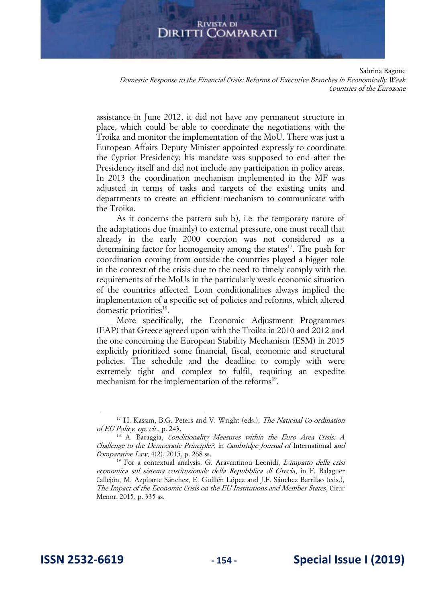Sabrina Ragone

Domestic Response to the Financial Crisis: Reforms of Executive Branches in Economically Weak Countries of the Eurozone

assistance in June 2012, it did not have any permanent structure in place, which could be able to coordinate the negotiations with the Troika and monitor the implementation of the MoU. There was just a European Affairs Deputy Minister appointed expressly to coordinate the Cypriot Presidency; his mandate was supposed to end after the Presidency itself and did not include any participation in policy areas. In 2013 the coordination mechanism implemented in the MF was adjusted in terms of tasks and targets of the existing units and departments to create an efficient mechanism to communicate with the Troika.

As it concerns the pattern sub b), i.e. the temporary nature of the adaptations due (mainly) to external pressure, one must recall that already in the early 2000 coercion was not considered as a determining factor for homogeneity among the states $17$ . The push for coordination coming from outside the countries played a bigger role in the context of the crisis due to the need to timely comply with the requirements of the MoUs in the particularly weak economic situation of the countries affected. Loan conditionalities always implied the implementation of a specific set of policies and reforms, which altered domestic priorities<sup>18</sup>.

More specifically, the Economic Adjustment Programmes (EAP) that Greece agreed upon with the Troika in 2010 and 2012 and the one concerning the European Stability Mechanism (ESM) in 2015 explicitly prioritized some financial, fiscal, economic and structural policies. The schedule and the deadline to comply with were extremely tight and complex to fulfil, requiring an expedite mechanism for the implementation of the reforms<sup>19</sup>.

<sup>&</sup>lt;sup>17</sup> H. Kassim, B.G. Peters and V. Wright (eds.), *The National Co-ordination* of EU Policy, op. cit., p. 243.

 $18$  A. Baraggia, *Conditionality Measures within the Euro Area Crisis: A* Challenge to the Democratic Principle?, in Cambridge Journal of International and Comparative Law,  $4(2)$ , 2015, p. 268 ss.

<sup>&</sup>lt;sup>19</sup> For a contextual analysis, G. Aravantinou Leonidi, L'impatto della crisi economica sul sistema costituzionale della Repubblica di Grecia, in F. Balaguer Callejón, M. Azpitarte Sánchez, E. Guillén López and J.F. Sánchez Barrilao (eds.), The Impact of the Economic Crisis on the EU Institutions and Member States, Cizur Menor, 2015, p. 335 ss.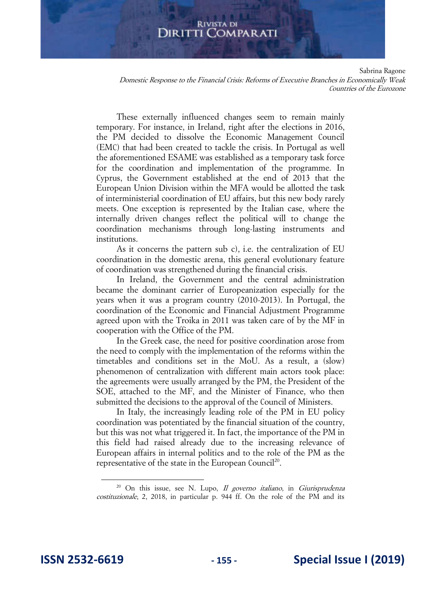Sabrina Ragone

Domestic Response to the Financial Crisis: Reforms of Executive Branches in Economically Weak Countries of the Eurozone

These externally influenced changes seem to remain mainly temporary. For instance, in Ireland, right after the elections in 2016, the PM decided to dissolve the Economic Management Council (EMC) that had been created to tackle the crisis. In Portugal as well the aforementioned ESAME was established as a temporary task force for the coordination and implementation of the programme. In Cyprus, the Government established at the end of 2013 that the European Union Division within the MFA would be allotted the task of interministerial coordination of EU affairs, but this new body rarely meets. One exception is represented by the Italian case, where the internally driven changes reflect the political will to change the coordination mechanisms through long-lasting instruments and institutions.

As it concerns the pattern sub c), i.e. the centralization of EU coordination in the domestic arena, this general evolutionary feature of coordination was strengthened during the financial crisis.

In Ireland, the Government and the central administration became the dominant carrier of Europeanization especially for the years when it was a program country (2010-2013). In Portugal, the coordination of the Economic and Financial Adjustment Programme agreed upon with the Troika in 2011 was taken care of by the MF in cooperation with the Office of the PM.

In the Greek case, the need for positive coordination arose from the need to comply with the implementation of the reforms within the timetables and conditions set in the MoU. As a result, a (slow) phenomenon of centralization with different main actors took place: the agreements were usually arranged by the PM, the President of the SOE, attached to the MF, and the Minister of Finance, who then submitted the decisions to the approval of the Council of Ministers.

In Italy, the increasingly leading role of the PM in EU policy coordination was potentiated by the financial situation of the country, but this was not what triggered it. In fact, the importance of the PM in this field had raised already due to the increasing relevance of European affairs in internal politics and to the role of the PM as the representative of the state in the European Council<sup>20</sup>.

 $20$  On this issue, see N. Lupo, *Il governo italiano*, in *Giurisprudenza* costituzionale, 2, 2018, in particular p. 944 ff. On the role of the PM and its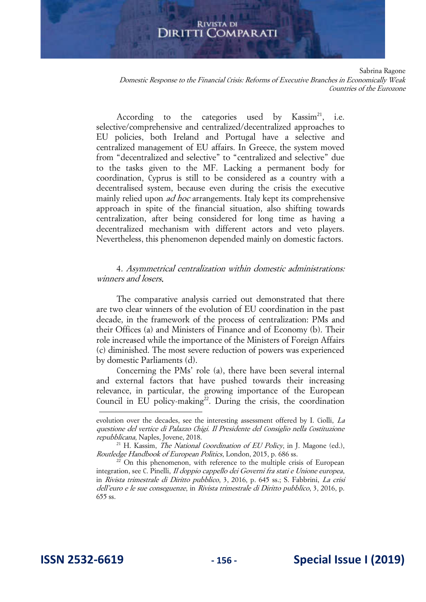#### **RIVISTA DI** Diritti ( **COMPARATI**

Sabrina Ragone

Domestic Response to the Financial Crisis: Reforms of Executive Branches in Economically Weak Countries of the Eurozone

According to the categories used by  $Kassim<sup>21</sup>$ , i.e. selective/comprehensive and centralized/decentralized approaches to EU policies, both Ireland and Portugal have a selective and centralized management of EU affairs. In Greece, the system moved from "decentralized and selective" to "centralized and selective" due to the tasks given to the MF. Lacking a permanent body for coordination, Cyprus is still to be considered as a country with a decentralised system, because even during the crisis the executive mainly relied upon ad hoc arrangements. Italy kept its comprehensive approach in spite of the financial situation, also shifting towards centralization, after being considered for long time as having a decentralized mechanism with different actors and veto players. Nevertheless, this phenomenon depended mainly on domestic factors.

#### 4. Asymmetrical centralization within domestic administrations: winners and losers.

The comparative analysis carried out demonstrated that there are two clear winners of the evolution of EU coordination in the past decade, in the framework of the process of centralization: PMs and their Offices (a) and Ministers of Finance and of Economy (b). Their role increased while the importance of the Ministers of Foreign Affairs (c) diminished. The most severe reduction of powers was experienced by domestic Parliaments (d).

Concerning the PMs' role (a), there have been several internal and external factors that have pushed towards their increasing relevance, in particular, the growing importance of the European Council in EU policy-making<sup>22</sup>. During the crisis, the coordination

evolution over the decades, see the interesting assessment offered by I. Ciolli, La questione del vertice di Palazzo Chigi. Il Presidente del Consiglio nella Costituzione repubblicana, Naples, Jovene, 2018.

<sup>&</sup>lt;sup>21</sup> H. Kassim, *The National Coordination of EU Policy*, in J. Magone (ed.), Routledge Handbook of European Politics, London, 2015, p. 686 ss.

<sup>&</sup>lt;sup>22</sup> On this phenomenon, with reference to the multiple crisis of European integration, see C. Pinelli, Il doppio cappello dei Governi fra stati e Unione europea, in Rivista trimestrale di Diritto pubblico, 3, 2016, p. 645 ss.; S. Fabbrini, La crisi dell'euro e le sue conseguenze, in Rivista trimestrale di Diritto pubblico, 3, 2016, p. 655 ss.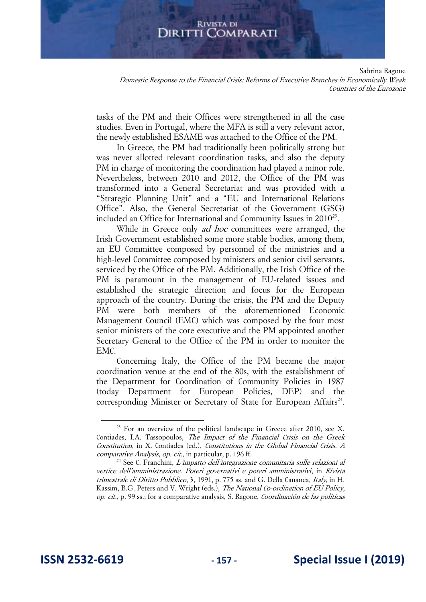Sabrina Ragone

Domestic Response to the Financial Crisis: Reforms of Executive Branches in Economically Weak Countries of the Eurozone

tasks of the PM and their Offices were strengthened in all the case studies. Even in Portugal, where the MFA is still a very relevant actor, the newly established ESAME was attached to the Office of the PM.

In Greece, the PM had traditionally been politically strong but was never allotted relevant coordination tasks, and also the deputy PM in charge of monitoring the coordination had played a minor role. Nevertheless, between 2010 and 2012, the Office of the PM was transformed into a General Secretariat and was provided with a "Strategic Planning Unit" and a "EU and International Relations Office". Also, the General Secretariat of the Government (GSG) included an Office for International and Community Issues in  $2010^{23}$ .

While in Greece only *ad hoc* committees were arranged, the Irish Government established some more stable bodies, among them, an EU Committee composed by personnel of the ministries and a high-level Committee composed by ministers and senior civil servants, serviced by the Office of the PM. Additionally, the Irish Office of the PM is paramount in the management of EU-related issues and established the strategic direction and focus for the European approach of the country. During the crisis, the PM and the Deputy PM were both members of the aforementioned Economic Management Council (EMC) which was composed by the four most senior ministers of the core executive and the PM appointed another Secretary General to the Office of the PM in order to monitor the EMC.

Concerning Italy, the Office of the PM became the major coordination venue at the end of the 80s, with the establishment of the Department for Coordination of Community Policies in 1987 (today Department for European Policies, DEP) and the corresponding Minister or Secretary of State for European Affairs<sup>24</sup>.

<sup>&</sup>lt;sup>23</sup> For an overview of the political landscape in Greece after 2010, see X. Contiades, I.A. Tassopoulos, The Impact of the Financial Crisis on the Greek Constitution, in X. Contiades (ed.), Constitutions in the Global Financial Crisis. A comparative Analysis, op. cit., in particular, p. 196 ff.

 $24$  See C. Franchini, L'impatto dell'integrazione comunitaria sulle relazioni al vertice dell'amministrazione. Poteri governativi e poteri amministrativi, in Rivista trimestrale di Diritto Pubblico, 3, 1991, p. 775 ss. and G. Della Cananea, Italy, in H. Kassim, B.G. Peters and V. Wright (eds.), The National Co-ordination of EU Policy, op. cit., p. 99 ss.; for a comparative analysis, S. Ragone, Coordinación de las políticas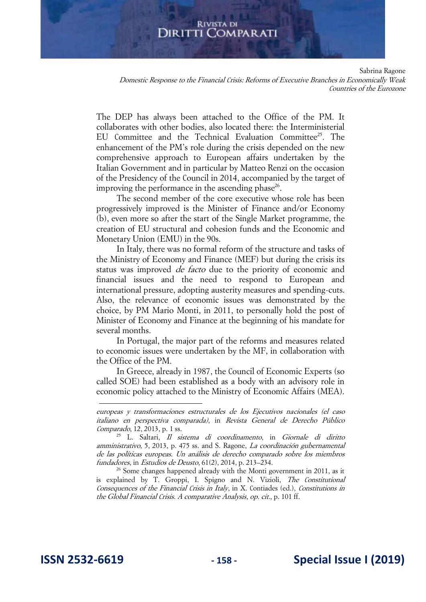Sabrina Ragone

Domestic Response to the Financial Crisis: Reforms of Executive Branches in Economically Weak Countries of the Eurozone

The DEP has always been attached to the Office of the PM. It collaborates with other bodies, also located there: the Interministerial EU Committee and the Technical Evaluation Committee<sup>25</sup>. The enhancement of the PM's role during the crisis depended on the new comprehensive approach to European affairs undertaken by the Italian Government and in particular by Matteo Renzi on the occasion of the Presidency of the Council in 2014, accompanied by the target of improving the performance in the ascending phase<sup>26</sup>.

The second member of the core executive whose role has been progressively improved is the Minister of Finance and/or Economy (b), even more so after the start of the Single Market programme, the creation of EU structural and cohesion funds and the Economic and Monetary Union (EMU) in the 90s.

In Italy, there was no formal reform of the structure and tasks of the Ministry of Economy and Finance (MEF) but during the crisis its status was improved *de facto* due to the priority of economic and financial issues and the need to respond to European and international pressure, adopting austerity measures and spending-cuts. Also, the relevance of economic issues was demonstrated by the choice, by PM Mario Monti, in 2011, to personally hold the post of Minister of Economy and Finance at the beginning of his mandate for several months.

In Portugal, the major part of the reforms and measures related to economic issues were undertaken by the MF, in collaboration with the Office of the PM.

In Greece, already in 1987, the Council of Economic Experts (so called SOE) had been established as a body with an advisory role in economic policy attached to the Ministry of Economic Affairs (MEA).

 $26$  Some changes happened already with the Monti government in 2011, as it is explained by T. Groppi, I. Spigno and N. Vizioli, The Constitutional Consequences of the Financial Crisis in Italy, in X. Contiades (ed.), Constitutions in the Global Financial Crisis. A comparative Analysis, op. cit., p. 101 ff.

europeas y transformaciones estructurales de los Ejecutivos nacionales (el caso italiano en perspectiva comparada), in Revista General de Derecho Público Comparado, 12, 2013, p. 1 ss.

<sup>25</sup> L. Saltari, Il sistema di coordinamento, in Giornale di diritto amministrativo, 5, 2013, p. 475 ss. and S. Ragone, La coordinación gubernamental de las políticas europeas. Un análisis de derecho comparado sobre los miembros fundadores, in Estudios de Deusto, 61(2), 2014, p. 213–234.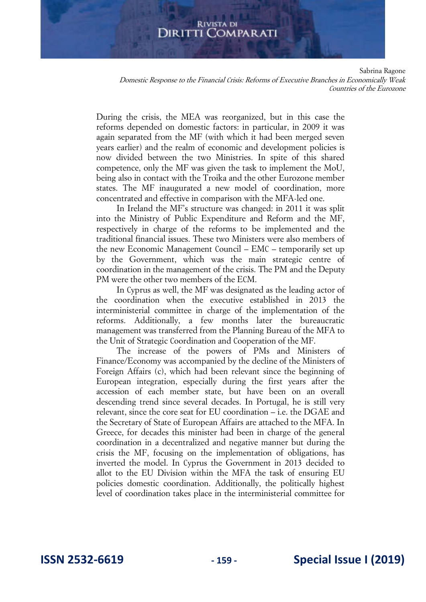Sabrina Ragone

Domestic Response to the Financial Crisis: Reforms of Executive Branches in Economically Weak Countries of the Eurozone

During the crisis, the MEA was reorganized, but in this case the reforms depended on domestic factors: in particular, in 2009 it was again separated from the MF (with which it had been merged seven years earlier) and the realm of economic and development policies is now divided between the two Ministries. In spite of this shared competence, only the MF was given the task to implement the MoU, being also in contact with the Troika and the other Eurozone member states. The MF inaugurated a new model of coordination, more concentrated and effective in comparison with the MFA-led one.

In Ireland the MF's structure was changed: in 2011 it was split into the Ministry of Public Expenditure and Reform and the MF, respectively in charge of the reforms to be implemented and the traditional financial issues. These two Ministers were also members of the new Economic Management Council – EMC – temporarily set up by the Government, which was the main strategic centre of coordination in the management of the crisis. The PM and the Deputy PM were the other two members of the ECM.

In Cyprus as well, the MF was designated as the leading actor of the coordination when the executive established in 2013 the interministerial committee in charge of the implementation of the reforms. Additionally, a few months later the bureaucratic management was transferred from the Planning Bureau of the MFA to the Unit of Strategic Coordination and Cooperation of the MF.

The increase of the powers of PMs and Ministers of Finance/Economy was accompanied by the decline of the Ministers of Foreign Affairs (c), which had been relevant since the beginning of European integration, especially during the first years after the accession of each member state, but have been on an overall descending trend since several decades. In Portugal, he is still very relevant, since the core seat for EU coordination – i.e. the DGAE and the Secretary of State of European Affairs are attached to the MFA. In Greece, for decades this minister had been in charge of the general coordination in a decentralized and negative manner but during the crisis the MF, focusing on the implementation of obligations, has inverted the model. In Cyprus the Government in 2013 decided to allot to the EU Division within the MFA the task of ensuring EU policies domestic coordination. Additionally, the politically highest level of coordination takes place in the interministerial committee for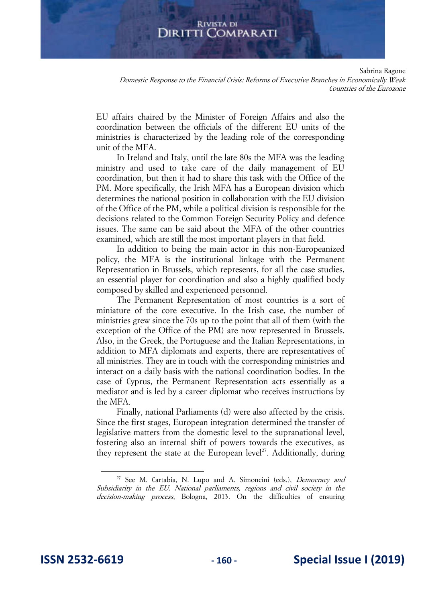Sabrina Ragone

Domestic Response to the Financial Crisis: Reforms of Executive Branches in Economically Weak Countries of the Eurozone

EU affairs chaired by the Minister of Foreign Affairs and also the coordination between the officials of the different EU units of the ministries is characterized by the leading role of the corresponding unit of the MFA.

In Ireland and Italy, until the late 80s the MFA was the leading ministry and used to take care of the daily management of EU coordination, but then it had to share this task with the Office of the PM. More specifically, the Irish MFA has a European division which determines the national position in collaboration with the EU division of the Office of the PM, while a political division is responsible for the decisions related to the Common Foreign Security Policy and defence issues. The same can be said about the MFA of the other countries examined, which are still the most important players in that field.

In addition to being the main actor in this non-Europeanized policy, the MFA is the institutional linkage with the Permanent Representation in Brussels, which represents, for all the case studies, an essential player for coordination and also a highly qualified body composed by skilled and experienced personnel.

The Permanent Representation of most countries is a sort of miniature of the core executive. In the Irish case, the number of ministries grew since the 70s up to the point that all of them (with the exception of the Office of the PM) are now represented in Brussels. Also, in the Greek, the Portuguese and the Italian Representations, in addition to MFA diplomats and experts, there are representatives of all ministries. They are in touch with the corresponding ministries and interact on a daily basis with the national coordination bodies. In the case of Cyprus, the Permanent Representation acts essentially as a mediator and is led by a career diplomat who receives instructions by the MFA.

Finally, national Parliaments (d) were also affected by the crisis. Since the first stages, European integration determined the transfer of legislative matters from the domestic level to the supranational level, fostering also an internal shift of powers towards the executives, as they represent the state at the European level<sup>27</sup>. Additionally, during

<sup>&</sup>lt;sup>27</sup> See M. Cartabia, N. Lupo and A. Simoncini (eds.), *Democracy and* Subsidiarity in the EU. National parliaments, regions and civil society in the decision-making process, Bologna, 2013. On the difficulties of ensuring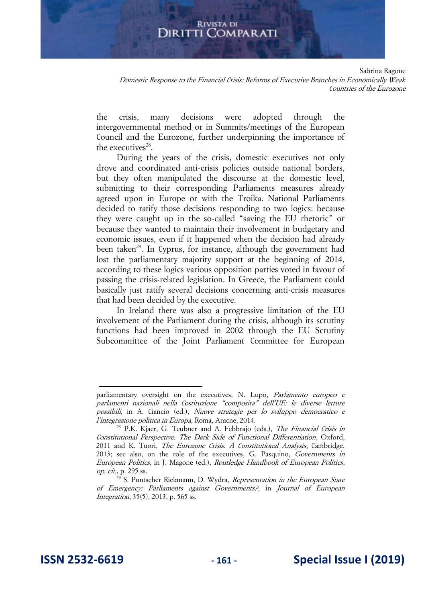Sabrina Ragone

Domestic Response to the Financial Crisis: Reforms of Executive Branches in Economically Weak Countries of the Eurozone

the crisis, many decisions were adopted through the intergovernmental method or in Summits/meetings of the European Council and the Eurozone, further underpinning the importance of the executives<sup>28</sup>.

During the years of the crisis, domestic executives not only drove and coordinated anti-crisis policies outside national borders, but they often manipulated the discourse at the domestic level, submitting to their corresponding Parliaments measures already agreed upon in Europe or with the Troika. National Parliaments decided to ratify those decisions responding to two logics: because they were caught up in the so-called "saving the EU rhetoric" or because they wanted to maintain their involvement in budgetary and economic issues, even if it happened when the decision had already been taken<sup>29</sup>. In Cyprus, for instance, although the government had lost the parliamentary majority support at the beginning of 2014, according to these logics various opposition parties voted in favour of passing the crisis-related legislation. In Greece, the Parliament could basically just ratify several decisions concerning anti-crisis measures that had been decided by the executive.

In Ireland there was also a progressive limitation of the EU involvement of the Parliament during the crisis, although its scrutiny functions had been improved in 2002 through the EU Scrutiny Subcommittee of the Joint Parliament Committee for European

parliamentary oversight on the executives, N. Lupo, Parlamento europeo e parlamenti nazionali nella Costituzione "composita" dell'UE: le diverse letture possibili, in A. Ciancio (ed.), Nuove strategie per lo sviluppo democratico e l'integrazione politica in Europa, Roma, Aracne, 2014.

<sup>&</sup>lt;sup>28</sup> P.K. Kjaer, G. Teubner and A. Febbrajo (eds.), *The Financial Crisis in* Constitutional Perspective. The Dark Side of Functional Differentiation, Oxford, 2011 and K. Tuori, *The Eurozone Crisis. A Constitutional Analysis*, Cambridge, 2013; see also, on the role of the executives, G. Pasquino, Governments in European Politics, in J. Magone (ed.), Routledge Handbook of European Politics, op. cit., p. 295 ss.

<sup>&</sup>lt;sup>29</sup> S. Puntscher Riekmann, D. Wydra, Representation in the European State of Emergency: Parliaments against Governments?, in Journal of European Integration, 35(5), 2013, p. 565 ss.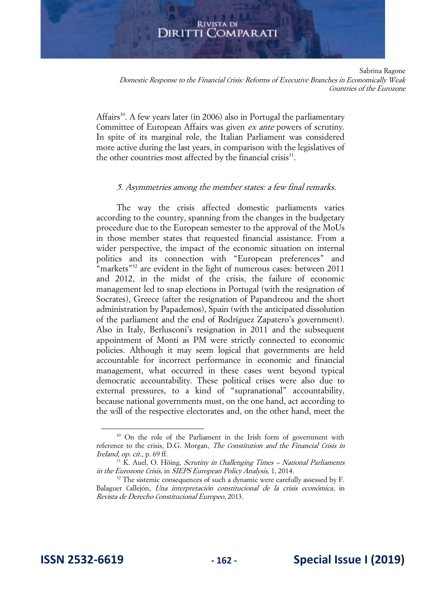Sabrina Ragone

Domestic Response to the Financial Crisis: Reforms of Executive Branches in Economically Weak Countries of the Eurozone

Affairs<sup>30</sup>. A few years later (in 2006) also in Portugal the parliamentary Committee of European Affairs was given ex ante powers of scrutiny. In spite of its marginal role, the Italian Parliament was considered more active during the last years, in comparison with the legislatives of the other countries most affected by the financial crisis<sup>31</sup>.

## 5. Asymmetries among the member states: a few final remarks.

The way the crisis affected domestic parliaments varies according to the country, spanning from the changes in the budgetary procedure due to the European semester to the approval of the MoUs in those member states that requested financial assistance. From a wider perspective, the impact of the economic situation on internal politics and its connection with "European preferences" and "markets"<sup>32</sup> are evident in the light of numerous cases: between  $2011$ and 2012, in the midst of the crisis, the failure of economic management led to snap elections in Portugal (with the resignation of Socrates), Greece (after the resignation of Papandreou and the short administration by Papademos), Spain (with the anticipated dissolution of the parliament and the end of Rodríguez Zapatero's government). Also in Italy, Berlusconi's resignation in 2011 and the subsequent appointment of Monti as PM were strictly connected to economic policies. Although it may seem logical that governments are held accountable for incorrect performance in economic and financial management, what occurred in these cases went beyond typical democratic accountability. These political crises were also due to external pressures, to a kind of "supranational" accountability, because national governments must, on the one hand, act according to the will of the respective electorates and, on the other hand, meet the

<sup>&</sup>lt;sup>30</sup> On the role of the Parliament in the Irish form of government with reference to the crisis, D.G. Morgan, *The Constitution and the Financial Crisis in* Ireland, op. cit., p. 69 ff.

 $31$  K. Auel, O. Höing, *Scrutiny in Challenging Times – National Parliaments* in the Eurozone Crisis, in SIEPS European Policy Analysis, 1, 2014.

<sup>&</sup>lt;sup>32</sup> The sistemic consequences of such a dynamic were carefully assessed by F. Balaguer Callejón, Una interpretación constitucional de la crisis económica, in Revista de Derecho Constitucional Europeo, 2013.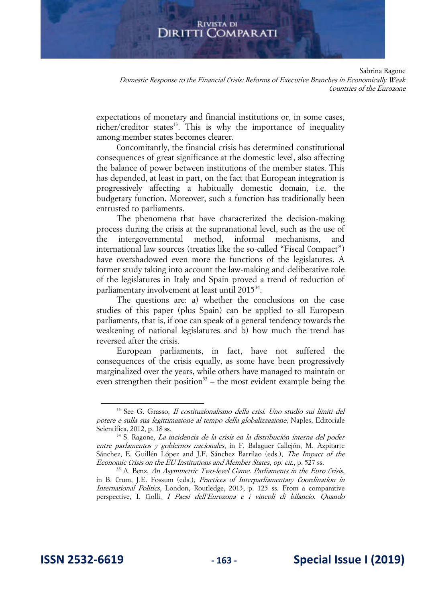Sabrina Ragone

Domestic Response to the Financial Crisis: Reforms of Executive Branches in Economically Weak Countries of the Eurozone

expectations of monetary and financial institutions or, in some cases, richer/creditor states<sup>33</sup>. This is why the importance of inequality among member states becomes clearer.

Concomitantly, the financial crisis has determined constitutional consequences of great significance at the domestic level, also affecting the balance of power between institutions of the member states. This has depended, at least in part, on the fact that European integration is progressively affecting a habitually domestic domain, i.e. the budgetary function. Moreover, such a function has traditionally been entrusted to parliaments.

The phenomena that have characterized the decision-making process during the crisis at the supranational level, such as the use of the intergovernmental method, informal mechanisms, international law sources (treaties like the so-called "Fiscal Compact") have overshadowed even more the functions of the legislatures. A former study taking into account the law-making and deliberative role of the legislatures in Italy and Spain proved a trend of reduction of parliamentary involvement at least until 2015<sup>34</sup>.

The questions are: a) whether the conclusions on the case studies of this paper (plus Spain) can be applied to all European parliaments, that is, if one can speak of a general tendency towards the weakening of national legislatures and b) how much the trend has reversed after the crisis.

European parliaments, in fact, have not suffered the consequences of the crisis equally, as some have been progressively marginalized over the years, while others have managed to maintain or even strengthen their position<sup>35</sup> – the most evident example being the

<sup>33</sup> See G. Grasso, Il costituzionalismo della crisi. Uno studio sui limiti del potere e sulla sua legittimazione al tempo della globalizzazione, Naples, Editoriale Scientifica, 2012, p. 18 ss.

<sup>34</sup> S. Ragone, La incidencia de la crisis en la distribución interna del poder entre parlamentos y gobiernos nacionales, in F. Balaguer Callejón, M. Azpitarte Sánchez, E. Guillén López and J.F. Sánchez Barrilao (eds.), The Impact of the Economic Crisis on the EU Institutions and Member States, op. cit., p. 527 ss.

<sup>&</sup>lt;sup>35</sup> A. Benz, An Asymmetric Two-level Game. Parliaments in the Euro Crisis, in B. Crum, J.E. Fossum (eds.), Practices of Interparliamentary Coordination in International Politics, London, Routledge, 2013, p. 125 ss. From a comparative perspective, I. Ciolli, I Paesi dell'Eurozona e i vincoli di bilancio. Quando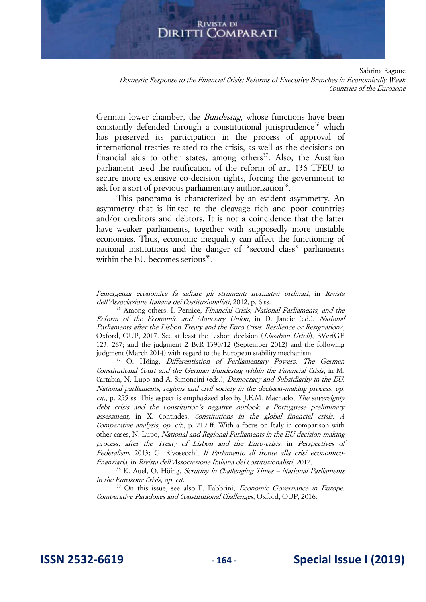Sabrina Ragone

Domestic Response to the Financial Crisis: Reforms of Executive Branches in Economically Weak Countries of the Eurozone

German lower chamber, the Bundestag, whose functions have been constantly defended through a constitutional jurisprudence<sup>36</sup> which has preserved its participation in the process of approval of international treaties related to the crisis, as well as the decisions on financial aids to other states, among others<sup>37</sup>. Also, the Austrian parliament used the ratification of the reform of art. 136 TFEU to secure more extensive co-decision rights, forcing the government to ask for a sort of previous parliamentary authorization<sup>38</sup>.

This panorama is characterized by an evident asymmetry. An asymmetry that is linked to the cleavage rich and poor countries and/or creditors and debtors. It is not a coincidence that the latter have weaker parliaments, together with supposedly more unstable economies. Thus, economic inequality can affect the functioning of national institutions and the danger of "second class" parliaments within the EU becomes serious<sup>39</sup>.

l'emergenza economica fa saltare gli strumenti normativi ordinari, in Rivista dell'Associazione Italiana dei Costituzionalisti, 2012, p. 6 ss.

<sup>&</sup>lt;sup>36</sup> Among others, I. Pernice, *Financial Crisis*, *National Parliaments, and the* Reform of the Economic and Monetary Union, in D. Jancic (ed.), National Parliaments after the Lisbon Treaty and the Euro Crisis: Resilience or Resignation?, Oxford, OUP, 2017. See at least the Lisbon decision (Lissabon Urteil), BVerfGE 123, 267; and the judgment 2 BvR 1390/12 (September 2012) and the following judgment (March 2014) with regard to the European stability mechanism.

<sup>&</sup>lt;sup>37</sup> O. Höing, *Differentiation of Parliamentary Powers. The German* Constitutional Court and the German Bundestag within the Financial Crisis, in M. Cartabia, N. Lupo and A. Simoncini (eds.), Democracy and Subsidiarity in the EU. National parliaments, regions and civil society in the decision-making process, op. cit., p. 255 ss. This aspect is emphasized also by J.E.M. Machado, The sovereignty debt crisis and the Constitution's negative outlook: a Portuguese preliminary assessment, in X. Contiades, Constitutions in the global financial crisis. A Comparative analysis, op. cit., p. 219 ff. With a focus on Italy in comparison with other cases, N. Lupo, National and Regional Parliaments in the EU decision-making process, after the Treaty of Lisbon and the Euro-crisis, in Perspectives of Federalism, 2013; G. Rivosecchi, Il Parlamento di fronte alla crisi economicofinanziaria, in Rivista dell'Associazione Italiana dei Costituzionalisti, 2012.

 $38$  K. Auel, O. Höing, *Scrutiny in Challenging Times – National Parliaments* in the Eurozone Crisis, op. cit.

<sup>&</sup>lt;sup>39</sup> On this issue, see also F. Fabbrini, *Economic Governance in Europe.* Comparative Paradoxes and Constitutional Challenges, Oxford, OUP, 2016.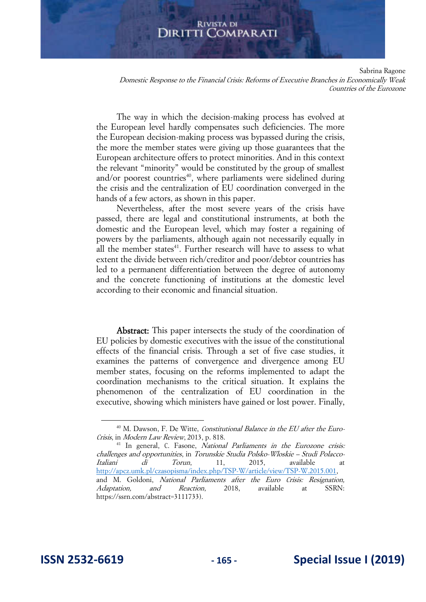Sabrina Ragone

Domestic Response to the Financial Crisis: Reforms of Executive Branches in Economically Weak Countries of the Eurozone

The way in which the decision-making process has evolved at the European level hardly compensates such deficiencies. The more the European decision-making process was bypassed during the crisis, the more the member states were giving up those guarantees that the European architecture offers to protect minorities. And in this context the relevant "minority" would be constituted by the group of smallest and/or poorest countries<sup>40</sup>, where parliaments were sidelined during the crisis and the centralization of EU coordination converged in the hands of a few actors, as shown in this paper.

Nevertheless, after the most severe years of the crisis have passed, there are legal and constitutional instruments, at both the domestic and the European level, which may foster a regaining of powers by the parliaments, although again not necessarily equally in all the member states<sup>41</sup>. Further research will have to assess to what extent the divide between rich/creditor and poor/debtor countries has led to a permanent differentiation between the degree of autonomy and the concrete functioning of institutions at the domestic level according to their economic and financial situation.

Abstract: This paper intersects the study of the coordination of EU policies by domestic executives with the issue of the constitutional effects of the financial crisis. Through a set of five case studies, it examines the patterns of convergence and divergence among EU member states, focusing on the reforms implemented to adapt the coordination mechanisms to the critical situation. It explains the phenomenon of the centralization of EU coordination in the executive, showing which ministers have gained or lost power. Finally,

<sup>&</sup>lt;sup>40</sup> M. Dawson, F. De Witte, Constitutional Balance in the EU after the Euro-Crisis, in Modern Law Review, 2013, p. 818.

<sup>&</sup>lt;sup>41</sup> In general, C. Fasone, National Parliaments in the Eurozone crisis: challenges and opportunities, in Torunskie Studia Polsko-Wloskie – Studi Polacco-Italiani di Torun, 11, 2015, available at [http://apcz.umk.pl/czasopisma/index.php/TSP-W/article/view/TSP-W.2015.001,](http://apcz.umk.pl/czasopisma/index.php/TSP-W/article/view/TSP-W.2015.001)  and M. Goldoni, National Parliaments after the Euro Crisis: Resignation, Adaptation, and Reaction, 2018, available at SSRN: https://ssrn.com/abstract=3111733).